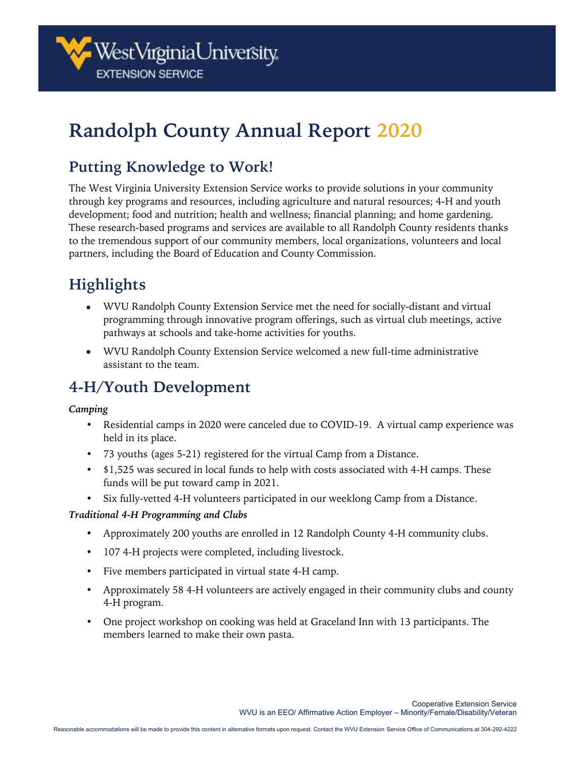

# **Randolph County Annual Report 2020**

### **Putting Knowledge to Work!**

The West Virginia University Extension Service works to provide solutions in your community through key programs and resources, including agriculture and natural resources; 4-H and youth development; food and nutrition; health and wellness; financial planning; and home gardening. These research-based programs and services are available to all Randolph County residents thanks to the tremendous support of our community members, local organizations, volunteers and local partners, including the Board of Education and County Commission.

# **Highlights**

- WVU Randolph County Extension Service met the need for socially-distant and virtual programming through innovative program offerings, such as virtual club meetings, active pathways at schools and take-home activities for youths.
- WVU Randolph County Extension Service welcomed a new full-time administrative assistant to the team.

### **4-H/Youth Development**

#### *Camping*

- Residential camps in 2020 were canceled due to COVID-19. A virtual camp experience was held in its place.
- 73 youths (ages 5-21) registered for the virtual Camp from a Distance.
- \$1,525 was secured in local funds to help with costs associated with 4-H camps. These funds will be put toward camp in 2021.
- Six fully-vetted 4-H volunteers participated in our weeklong Camp from a Distance.

#### *Traditional 4-H Programming and Clubs*

- Approximately 200 youths are enrolled in 12 Randolph County 4-H community clubs.
- 107 4-H projects were completed, including livestock.
- Five members participated in virtual state 4-H camp.
- Approximately 58 4-H volunteers are actively engaged in their community clubs and county 4-H program.
- One project workshop on cooking was held at Graceland Inn with 13 participants. The members learned to make their own pasta.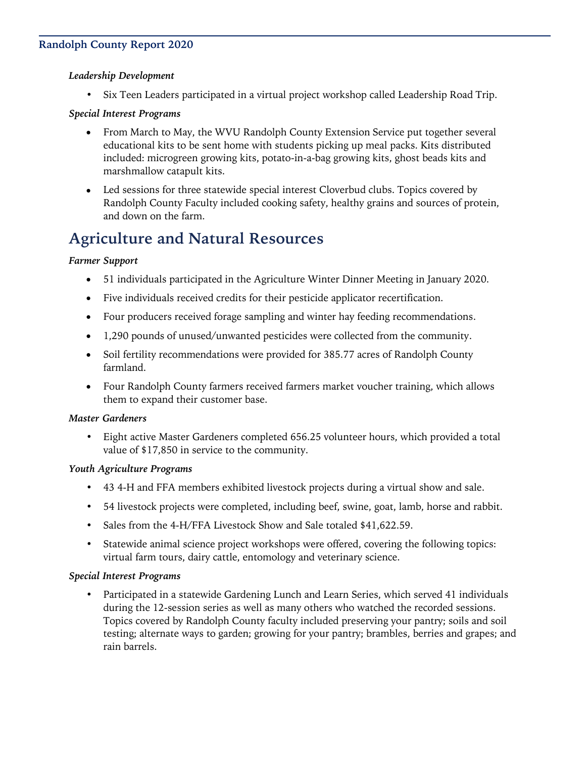#### **Randolph County Report 2020**

#### *Leadership Development*

• Six Teen Leaders participated in a virtual project workshop called Leadership Road Trip.

#### *Special Interest Programs*

- From March to May, the WVU Randolph County Extension Service put together several educational kits to be sent home with students picking up meal packs. Kits distributed included: microgreen growing kits, potato-in-a-bag growing kits, ghost beads kits and marshmallow catapult kits.
- Led sessions for three statewide special interest Cloverbud clubs. Topics covered by Randolph County Faculty included cooking safety, healthy grains and sources of protein, and down on the farm.

### **Agriculture and Natural Resources**

#### *Farmer Support*

- 51 individuals participated in the Agriculture Winter Dinner Meeting in January 2020.
- Five individuals received credits for their pesticide applicator recertification.
- Four producers received forage sampling and winter hay feeding recommendations.
- 1,290 pounds of unused/unwanted pesticides were collected from the community.
- Soil fertility recommendations were provided for 385.77 acres of Randolph County farmland.
- Four Randolph County farmers received farmers market voucher training, which allows them to expand their customer base.

#### *Master Gardeners*

• Eight active Master Gardeners completed 656.25 volunteer hours, which provided a total value of \$17,850 in service to the community.

#### *Youth Agriculture Programs*

- 43 4-H and FFA members exhibited livestock projects during a virtual show and sale.
- 54 livestock projects were completed, including beef, swine, goat, lamb, horse and rabbit.
- Sales from the 4-H/FFA Livestock Show and Sale totaled \$41,622.59.
- Statewide animal science project workshops were offered, covering the following topics: virtual farm tours, dairy cattle, entomology and veterinary science.

#### *Special Interest Programs*

• Participated in a statewide Gardening Lunch and Learn Series, which served 41 individuals during the 12-session series as well as many others who watched the recorded sessions. Topics covered by Randolph County faculty included preserving your pantry; soils and soil testing; alternate ways to garden; growing for your pantry; brambles, berries and grapes; and rain barrels.